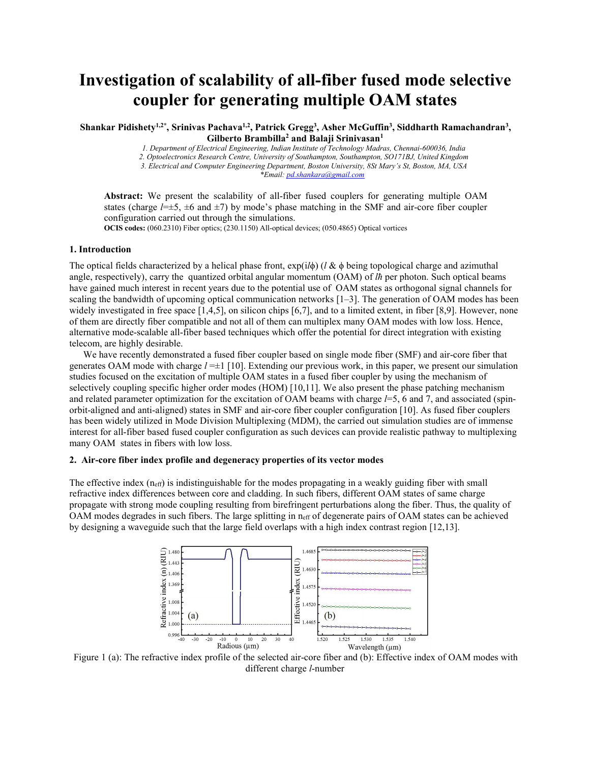# **Investigation of scalability of all-fiber fused mode selective coupler for generating multiple OAM states**

Shankar Pidishety<sup>1,2\*</sup>, Srinivas Pachava<sup>1,2</sup>, Patrick Gregg<sup>3</sup>, Asher McGuffin<sup>3</sup>, Siddharth Ramachandran<sup>3</sup>, **, Gilberto Brambilla <sup>2</sup> and Balaji Srinivasan 1**

*1. Department of Electrical Engineering, Indian Institute of Technology Madras,Chennai-600036, India*

*2. Optoelectronics Research Centre, University of Southampton, Southampton, SO171BJ, United Kingdom*

*3. Electrical and Computer Engineering Department, Boston University, 8St Mary's St, Boston, MA, USA*

*\*Email: [pd.shankara@gmail.com](mailto:pd.shankara@gmail.com)*

**Abstract:** We present the scalability of all-fiber fused couplers for generating multiple OAM states (charge  $l=\pm 5$ ,  $\pm 6$  and  $\pm 7$ ) by mode's phase matching in the SMF and air-core fiber coupler configuration carried out through the simulations.

**OCIS codes:** (060.2310) Fiber optics; (230.1150) All-optical devices; (050.4865) Optical vortices

## **1. Introduction**

The optical fields characterized by a helical phase front, exp(i*l*ϕ) (*l* & ϕ being topological charge and azimuthal angle, respectively), carry the quantized orbital angular momentum (OAM) of *lh* per photon. Such optical beams have gained much interest in recent years due to the potential use of OAM states as orthogonal signal channels for scaling the bandwidth of upcoming optical communication networks [1–3]. The generation of OAM modes has been widely investigated in free space  $[1,4,5]$ , on silicon chips  $[6,7]$ , and to a limited extent, in fiber  $[8,9]$ . However, none of them are directly fiber compatible and notall of them can multiplex many OAM modes with low loss. Hence, alternative mode-scalable all-fiber based techniques which offer the potential for direct integration with existing telecom, are highly desirable.

We have recently demonstrated a fused fiber coupler based on single mode fiber (SMF) and air-core fiber that generates OAM mode with charge *l* =±1 [10]. Extending our previous work, in this paper, we presentour simulation studies focused on the excitation of multiple OAM states in a fused fiber coupler by using the mechanism of selectively coupling specific higher order modes (HOM) [10,11]. We also present the phase patching mechanism and related parameter optimization for the excitation of OAM beams with charge *l*=5,6 and 7, and associated (spin orbit-aligned and anti-aligned) states in SMF and air-core fibercoupler configuration [10]. As fused fiber couplers has been widely utilized in Mode Division Multiplexing (MDM), the carried out simulation studies are of immense interest for all-fiber based fused coupler configuration as such devices can provide realistic pathway to multiplexing many OAM states in fibers with low loss.

#### **2. Air-core fiber index profile and degeneracy properties ofits vector modes**

The effective index  $(n_{\text{eff}})$  is indistinguishable for the modes propagating in a weakly guiding fiber with small refractive index differences between core and cladding. In such fibers, different OAM states ofsame charge propagate with strong mode coupling resulting from birefringent perturbations along the fiber. Thus, the quality of OAM modes degrades in such fibers. The large splitting in  $n_{\text{eff}}$  of degenerate pairs of OAM states can be achieved by designing a waveguide such that the large field overlaps with a high index contrast region [12,13].



Figure 1 (a): The refractive index profile of the selected air-core fiberand (b): Effective index of OAM modes with different charge *l*-number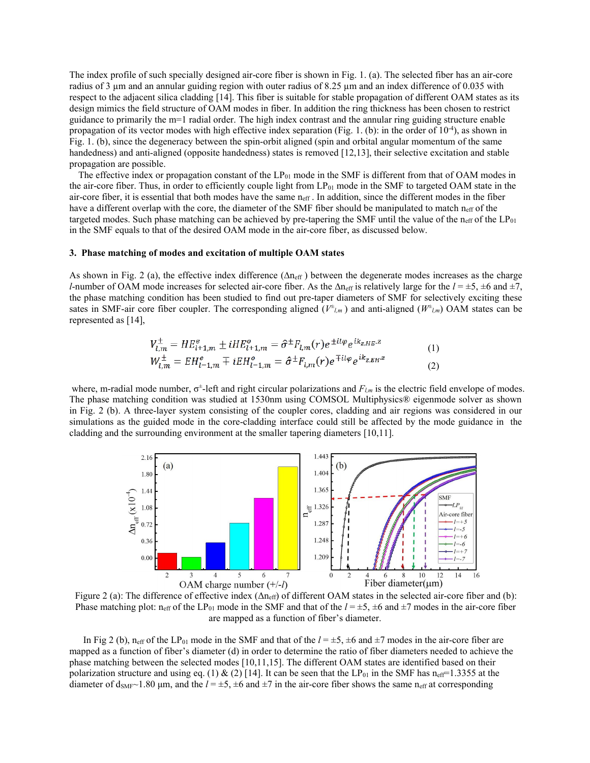The index profile of such specially designed air-core fiber is shown in Fig. 1. (a). The selected fiber has an air-core radius of 3 µm and an annular guiding region with outer radius of 8.25 µm and an index difference of 0.035 with respect to the adjacent silica cladding [14]. This fiber is suitable for stable propagation of different OAM states as its design mimics the field structure of OAM modes in fiber. In addition the ring thickness has been chosen to restrict guidance to primarily the m=1 radial order. The high index contrast and the annular ring guiding structure enable propagation of its vector modes with high effective index separation (Fig. 1. (b): in the order of 10<sup>-4</sup>), as shown in Fig. 1. (b), since the degeneracy between the spin-orbit aligned (spin and orbital angular momentum of the same handedness) and anti-aligned (opposite handedness) states is removed [12,13], their selective excitation and stable propagation are possible.

The effective index or propagation constant of the  $LP_{01}$  mode in the SMF is different from that of OAM modes in the air-core fiber. Thus, in order to efficiently couple light from LP<sub>01</sub> mode in the SMF to targeted OAM state in the air-core fiber, it is essential that both modes have the same  $n_{\text{eff}}$ . In addition, since the different modes in the fiber have a different overlap with the core, the diameter of the SMF fiber should be manipulated to match  $n_{\text{eff}}$  of the targeted modes. Such phase matching can be achieved by pre-tapering the SMF until the value of the  $n_{\text{eff}}$  of the LP $_{01}$ in the SMF equals to that of the desired OAM mode in the air-core fiber, as discussed below.

### **3. Phase matching of modes and excitation of multiple OAM states**

As shown in Fig. 2 (a), the effective index difference ( $\Delta n_{eff}$ ) between the degenerate modes increases as the charge *l*-number of OAM mode increases for selected air-core fiber. As the  $\Delta n_{\text{eff}}$  is relatively large for the  $l = \pm 5, \pm 6$  and  $\pm 7$ , the phase matching condition has been studied to find out pre-taper diameters of SMF for selectively exciting these sates in SMF-air core fiber coupler. The corresponding aligned  $(V^{\pm}{}_{l,m})$  and anti-aligned  $(W^{\pm}{}_{l,m})$  OAM states can be represented as [14],

$$
V_{l,m}^{\pm} = HE_{l+1,m}^{e} \pm iHE_{l+1,m}^o = \hat{\sigma}^{\pm}F_{l,m}(r)e^{\pm il\varphi}e^{ik_{z,HE}.z}
$$
  
\n
$$
W_{l,m}^{\pm} = EH_{l-1,m}^{e} \mp iEH_{l-1,m}^o = \hat{\sigma}^{\pm}F_{l,m}(r)e^{\mp il\varphi}e^{ik_{z,EH}.z}
$$
\n(1)

where, m-radial mode number,  $\sigma^{\pm}$ -left and right circular polarizations and  $F_{l,m}$  is the electric field envelope of modes. The phase matching condition was studied at 1530nm using COMSOL Multiphysics® eigenmode solver as shown in Fig. 2 (b). A three-layer system consisting of the coupler cores, cladding and air regions was considered in our simulations as the guided mode in the core-cladding interface could still be affected by the mode guidance in the cladding and the surrounding environment at the smaller tapering diameters [10,11].



Figure 2 (a): The difference of effective index  $(\Delta n_{\text{eff}})$  of different OAM states in the selected air-core fiber and (b): Phase matching plot: n<sub>eff</sub> of the LP<sub>01</sub> mode in the SMF and that of the  $l = \pm 5, \pm 6$  and  $\pm 7$  modes in the air-core fiber are mapped as a function of fiber's diameter.

In Fig 2 (b),  $n_{\text{eff}}$  of the LP<sub>01</sub> mode in the SMF and that of the  $l = \pm 5, \pm 6$  and  $\pm 7$  modes in the air-core fiber are mapped as a function of fiber's diameter (d) in order to determine the ratio of fiber diameters needed to achieve the phase matching between the selected modes [10,11,15]. The different OAM states are identified based on their polarization structure and using eq. (1) & (2) [14]. It can be seen that the LP<sub>01</sub> in the SMF has n<sub>eff</sub>=1.3355 at the diameter of  $d_{\text{SMF}}$ ~1.80 µm, and the  $l = \pm 5$ ,  $\pm 6$  and  $\pm 7$  in the air-core fiber shows the same n<sub>eff</sub> at corresponding